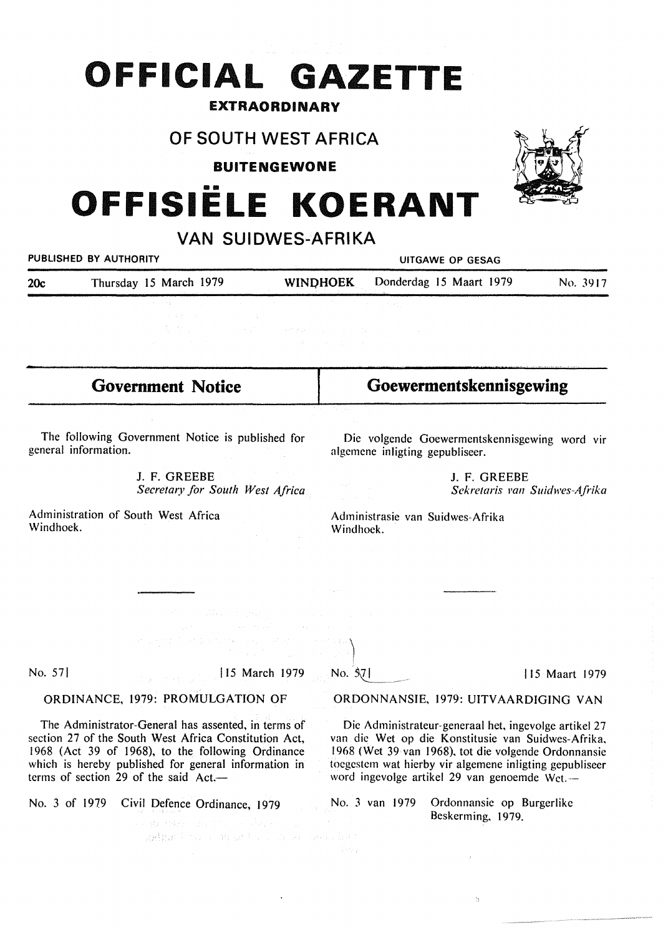# **OFFICIAL GAZETTE**

# EXTRAORDINARY

# **OF SOUTH WEST AFRICA**

**BUITENGEWONE** 

# OFFISIËLE KOERANT

| VAN SUIDWES-AFRIKA                                                       |                                                                                                                                                                                                                                                                                                                                                                                                                                                                                                                                                                 |                                                                                                                                                                                                                                                                                |
|--------------------------------------------------------------------------|-----------------------------------------------------------------------------------------------------------------------------------------------------------------------------------------------------------------------------------------------------------------------------------------------------------------------------------------------------------------------------------------------------------------------------------------------------------------------------------------------------------------------------------------------------------------|--------------------------------------------------------------------------------------------------------------------------------------------------------------------------------------------------------------------------------------------------------------------------------|
| PUBLISHED BY AUTHORITY                                                   |                                                                                                                                                                                                                                                                                                                                                                                                                                                                                                                                                                 | UITGAWE OP GESAG                                                                                                                                                                                                                                                               |
| 20c                                                                      | Thursday 15 March 1979                                                                                                                                                                                                                                                                                                                                                                                                                                                                                                                                          | Donderdag 15 Maart 1979<br><b>WINDHOEK</b><br>No. 3917                                                                                                                                                                                                                         |
|                                                                          |                                                                                                                                                                                                                                                                                                                                                                                                                                                                                                                                                                 | <b>2. 中国大学学院、中国大学学院、中国大学学院、学院</b><br>$\mathcal{L}(\mathbf{r})$ and $\mathcal{L}(\mathbf{r})$ and $\mathcal{L}(\mathbf{r})$                                                                                                                                                     |
|                                                                          | <b>Government Notice</b>                                                                                                                                                                                                                                                                                                                                                                                                                                                                                                                                        | Goewermentskennisgewing                                                                                                                                                                                                                                                        |
|                                                                          |                                                                                                                                                                                                                                                                                                                                                                                                                                                                                                                                                                 |                                                                                                                                                                                                                                                                                |
| The following Government Notice is published for<br>general information. |                                                                                                                                                                                                                                                                                                                                                                                                                                                                                                                                                                 | Die volgende Goewermentskennisgewing word vir<br>algemene inligting gepubliseer.                                                                                                                                                                                               |
|                                                                          | J. F. GREEBE<br>Secretary for South West Africa                                                                                                                                                                                                                                                                                                                                                                                                                                                                                                                 | J. F. GREEBE<br>Sekretaris van Suidwes-Afrika                                                                                                                                                                                                                                  |
| Windhoek.                                                                | Administration of South West Africa                                                                                                                                                                                                                                                                                                                                                                                                                                                                                                                             | Administrasie van Suidwes-Afrika<br>Windhoek.                                                                                                                                                                                                                                  |
|                                                                          |                                                                                                                                                                                                                                                                                                                                                                                                                                                                                                                                                                 |                                                                                                                                                                                                                                                                                |
|                                                                          | $\label{eq:2.1} \frac{d^2\mathbf{r}}{d\mathbf{r}} = \frac{1}{2}\left[ \frac{1}{2}\left( \frac{\mathbf{r}}{d\mathbf{r}} + \frac{\mathbf{r}}{d\mathbf{r}} \right) + \frac{1}{2}\left( \frac{\mathbf{r}}{d\mathbf{r}} + \frac{\mathbf{r}}{d\mathbf{r}} \right) + \frac{1}{2}\left( \frac{\mathbf{r}}{d\mathbf{r}} + \frac{\mathbf{r}}{d\mathbf{r}} \right) + \frac{1}{2}\left( \frac{\mathbf{r}}{d\mathbf{r}} + \frac{\mathbf{r}}{d\mathbf{r}} \$                                                                                                                  |                                                                                                                                                                                                                                                                                |
|                                                                          | الموارد والمستقلة والمستقلة والمستقلة والمعارض والمستقل والمنافس والمتعارف<br>$\label{eq:2.1} \begin{split} \mathcal{L}^{2} & \left( \frac{1}{2} \mathcal{L} \left( \mathcal{E}^{2} \right) \right) \left( \frac{1}{2} \mathbf{e} \mathcal{L} \right) = \mathcal{L} \left( \mathcal{E}_{\mathbf{a}} \right) = \mathcal{L}^{2} \left( \mathcal{E} \right) \\ & \left( \mathcal{E}_{\mathbf{a}} \right) = \mathcal{E}_{\mathbf{a}} \left( \mathcal{E} \right) = \mathcal{E}_{\mathbf{a}} \left( \mathcal{E} \right) \\ & \left( \mathcal{E}_{\mathbf{a}} \right)$ |                                                                                                                                                                                                                                                                                |
| No. 57                                                                   | 15 March 1979                                                                                                                                                                                                                                                                                                                                                                                                                                                                                                                                                   | $\sim$ No. $37$<br> 15 Maart 1979                                                                                                                                                                                                                                              |
|                                                                          | ORDINANCE, 1979: PROMULGATION OF                                                                                                                                                                                                                                                                                                                                                                                                                                                                                                                                | ORDONNANSIE, 1979: UITVAARDIGING VAN                                                                                                                                                                                                                                           |
|                                                                          | The Administrator-General has assented, in terms of<br>section 27 of the South West Africa Constitution Act,<br>1968 (Act 39 of 1968), to the following Ordinance<br>which is hereby published for general information in<br>terms of section 29 of the said Act.—                                                                                                                                                                                                                                                                                              | Die Administrateur-generaal het, ingevolge artikel 27<br>van die Wet op die Konstitusie van Suidwes-Afrika,<br>1968 (Wet 39 van 1968), tot die volgende Ordonnansie<br>toegestem wat hierby vir algemene inligting gepubliseer<br>word ingevolge artikel 29 van genoemde Wet.— |
| No. 3 of 1979                                                            | Civil Defence Ordinance, 1979                                                                                                                                                                                                                                                                                                                                                                                                                                                                                                                                   | No. 3 van 1979<br>Ordonnansie op Burgerlike<br>Beskerming, 1979.                                                                                                                                                                                                               |

 $\mathbb{C}$ 

kadha i sono mozobno di se sono izer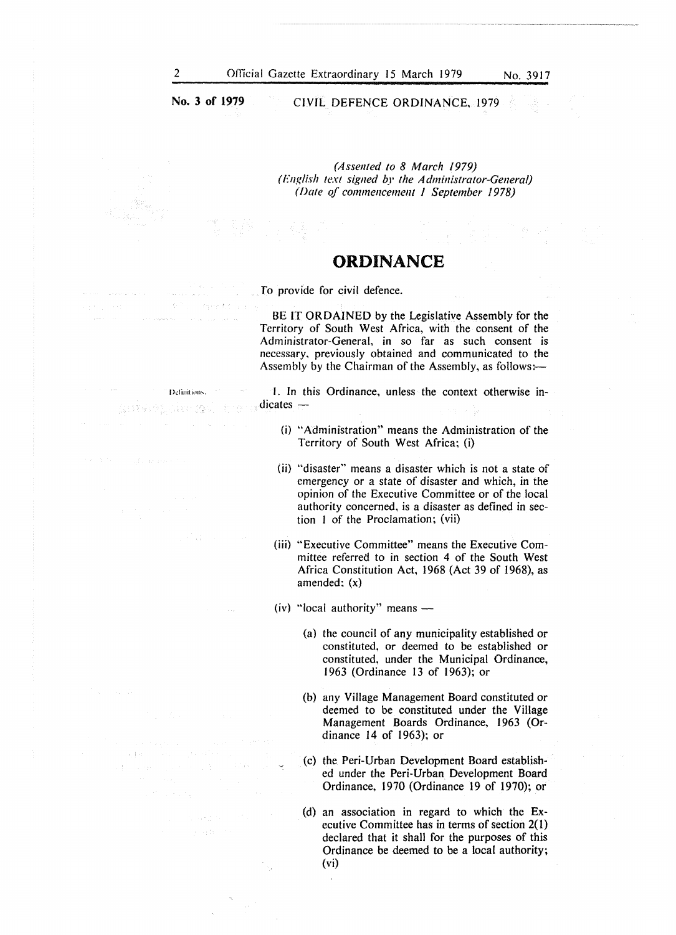**I >di nit 1~11h.** 

月1日 10月

of the general

**No. 3 of 1979**  CIVIL DEFENCE ORDINANCE, 1979

> *(Assented to 8 March 1979) (English text signed by the Administrator-General) (Date qf commencement l September 1978)*

## **ORDINANCE**

To provide for civil defence.

BE IT ORDAINED by the Legislative Assembly for the Territory of South West Africa, with the consent of the Administrator-General, in so far as such consent is necessary. previously obtained and communicated to the Assembly by the Chairman of the Assembly, as follows:-

!. In this Ordinance, unless the context otherwise indicates —

- (i) "Administration" means the Administration of the Territory of South West Africa; (i)
- (ii) "disaster" means a disaster which is not a state of emergency or a state of disaster and which, in the opinion of the Executive Committee or of the local authority concerned, is a disaster as defined in section I of the Proclamation; (vii)
- (iii) "Executive Committee" means the Executive Committee referred to in section 4 of the South West Africa Constitution Act, 1968 (Act 39 of 1968), as amended; (x)

(iv) "local authority" means  $-$ 

- (a) the council of any municipality established or constituted, or deemed to be established or constituted, under the Municipal Ordinance, 1963 (Ordinance 13 of 1963); or
- (b) any Village Management Board constituted or deemed to be constituted under the Village Management Boards Ordinance, 1963 (Ordinance 14 of 1963); or
- (c) the Peri-Urban Development Board established under the Peri-Urban Development Board Ordinance, 1970 (Ordinance 19 of 1970); or
- (d) an association in regard to which the Executive Committee has in terms of section 2(1) declared that it shall for the purposes of this Ordinance be deemed to be a local authority; (vi)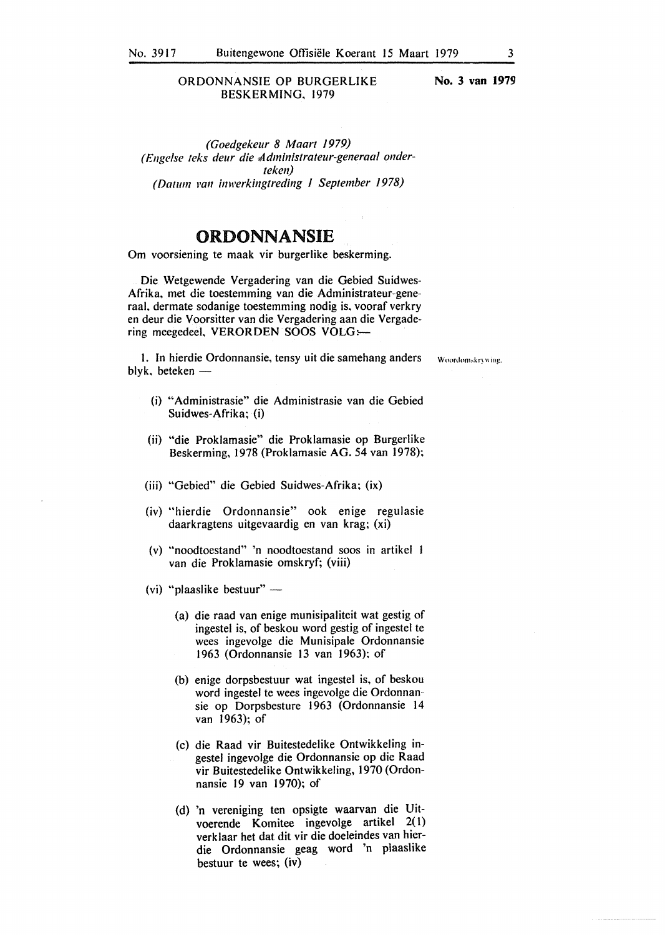**No. 3 van 1979** 

*(Goedgekeur 8 Maart 1979) (£11gelse teks deur die ddministrateur-generaal onderteken) (Datum Pall inwerkingtreding 1 September 1978)* 

### **ORDONNANSIE**

Om voorsiening te maak vir burgerlike beskerming.

Die Wetgewende Vergadering van die Gebied Suidwes-Afrika. met die toestemming van die Administrateur-generaal, dermate sodanige toestemming nodig is, vooraf verkry en deur die Voorsitter van die Vergadering aan die Vergadering meegedeel, **VERORDEN SOOS VOLG:-**

1. In hierdie Ordonnansie, tensy uit die samehang anders woordomskrywing. blyk, beteken -

- (i) "Administrasie" die Administrasie van die Gebied Suidwes-Afrika; (i)
- (ii) "die Proklamasie" die Proklamasie op Burgerlike Beskerming, 1978 (Proklamasie AG. 54 van 1978);
- (iii) "Gebied" die Gebied Suidwes-Afrika; (ix)
- (iv) "hierdie Ordonnansie" ook enige regulasie daarkragtens uitgevaardig en van krag; (xi)
- (v) "noodtoestand" 'n noodtoestand soos in artikel van die Proklamasie omskryf; (viii)
- (vi) "plaaslike bestuur"  $-$ 
	- (a) die raad van enige munisipaliteit wat gestig of ingestel is, of beskou word gestig of ingestel te wees ingevolge die Munisipale Ordonnansie 1963 (Ordonnansie 13 van 1963); of
	- (b) enige dorpsbestuur wat ingestel is, of beskou word ingestel te wees ingevolge die Ordonnan· sie op Dorpsbesture 1963 (Ordonnansie 14 van 1963); of
	- (c) die Raad vir Buitestedelike Ontwikkeling ingestel ingevolge die Ordonnansie op die Raad vir Buitestedelike Ontwikkeling, 1970 (Ordonnansie 19 van 1970); of
	- (d) 'n vereniging ten opsigte waarvan die Uitvoerende Komitee ingevolge artikel 2( I) verklaar het dat dit vir die doeleindes van hierdie Ordonnansie geag word 'n plaaslike bestuur te wees; (iv)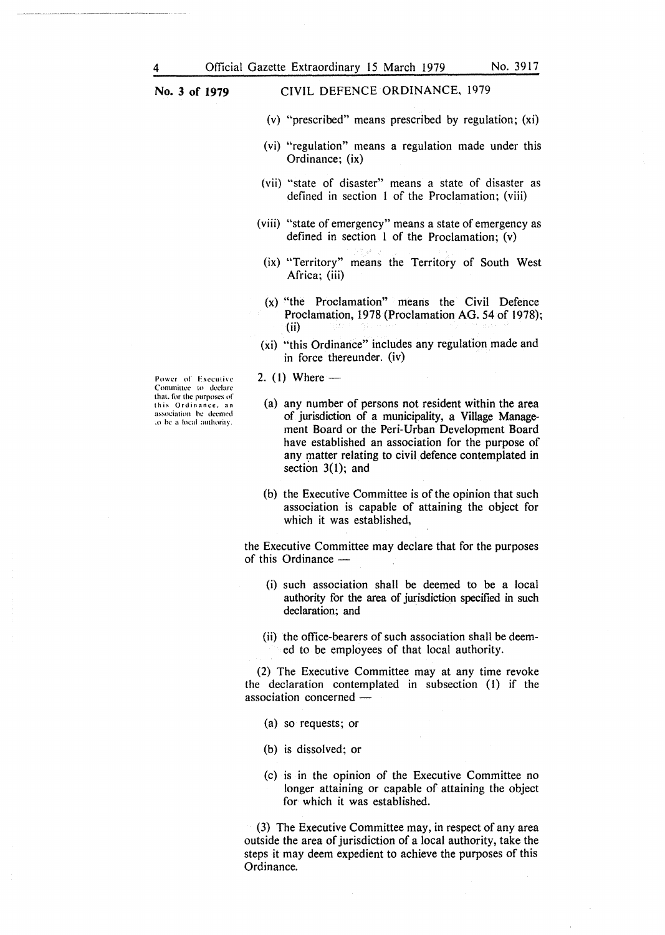CIVIL DEFENCE ORDINANCE, 1979

- (v) "prescribed" means prescribed by regulation; (xi)
- (vi) "regulation" means a regulation made under this Ordinance; (ix)
- (vii) "state of disaster" means a state of disaster as defined in section l of the Proclamation; (viii)
- (viii) "state of emergency" means a state of emergency as defined in section 1 of the Proclamation; (v)
	- (ix) "Territory" means the Territory of South West Africa; (iii)
	- (x) "the Proclamation" means the Civil Defence Proclamation, 1978 (Proclamation AG. 54 of 1978); (ii)
- (xi) "this Ordinance" includes any regulation made and in force thereunder. (iv)
- 2. (1) Where  $-$

(a) any number of persons not resident within the area of jurisdiction of a municipality, a Village Management Board or the Peri-Urban Development Board have established an association for the purpose of any matter relating to civil defence contemplated in section  $3(1)$ ; and

(b) the Executive Committee is of the opinion that such association is capable of attaining the object for which it was established,

the Executive Committee may declare that for the purposes of this Ordinance -

- (i) such association shall be deemed to be a local authority for the area of jurisdiction specified in such declaration; and
- (ii) the office-bearers of such association shall be deemed to be employees of that local authority.

(2) The Executive Committee may at any time revoke the declaration contemplated in subsection (I) if the association concerned -

- (a) so requests; or
- (b) is dissolved; or
- (c) is in the opinion of the Executive Committee no longer attaining or capable of attaining the object for which it was established.

(3) The Executive Committee may, in respect of any area outside the area of jurisdiction of a local authority, take the steps it may deem expedient to achieve the purposes of this Ordinance.

Power of Executive Comminee to declare that. for the purposes of this Ordinance, an **association he dccnwd ~o he a local authority.**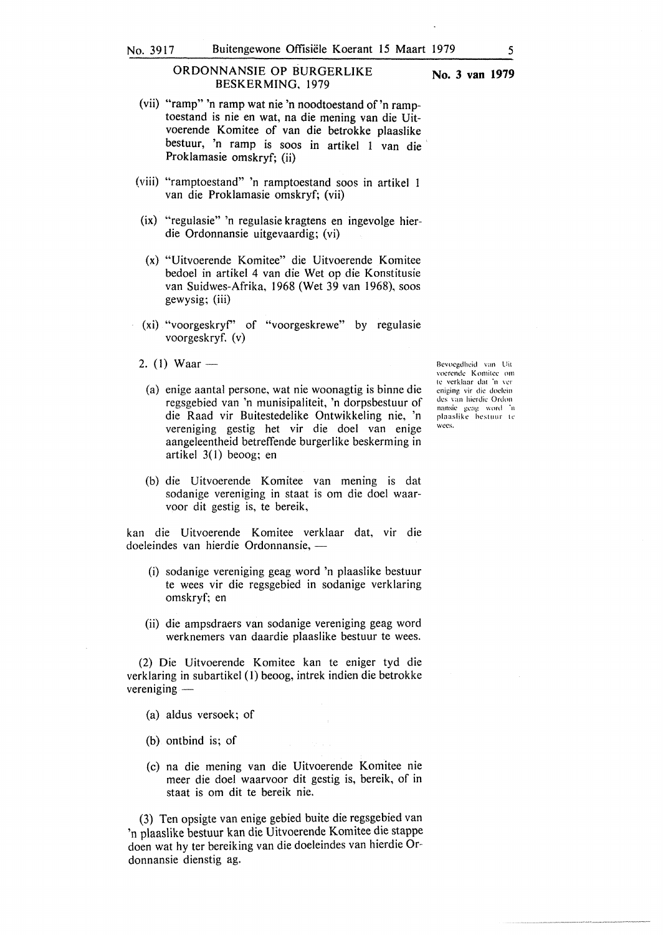#### ORDONNANSIE OP BURGERLIKE **No. 3 van 1979 BESKERMING,** 1979

- (vii) "ramp" 'n ramp wat nie 'n noodtoestand of 'n ramptoestand is nie en wat, na die mening van die Uitvoerende Komitee of van die betrokke plaaslike bestuur, 'n ramp is soos in artikel l van die Proklamasie omskryf; (ii)
- (viii) "ramptoestand" 'n ramptoestand soos in artikel van die Proklamasie omskryf; (vii)
- (ix) "regulasie" 'n regulasie kragtens en ingevolge hierdie Ordonnansie uitgevaardig; (vi)
- (x) "Uitvoerende Komitee" die Uitvoerende Komitee bedoel in artikel 4 van die Wet op die Konstitusie van Suidwes-Afrika, 1968 (Wet 39 van 1968), soos gewysig; (iii)
- (xi) "voorgeskryf' of "voorgeskrewe" by regulasie voorgeskryf. (v)
- 2. (1) Waar  $-$ 
	- (a) enige aantal persone, wat nie woonagtig is binne die regsgebied van 'n munisipaliteit, 'n dorpsbestuur of die Raad vir Buitestedelike Ontwikkeling nie, 'n vereniging gestig het vir die doel van enige aangeleentheid betreffende burgerlike beskerming in artikel  $3(1)$  beoog; en
	- (b) die Uitvoerende Komitee van mening is dat sodanige vereniging in staat is om die doel waarvoor dit gestig is, te bereik,

kan die Uitvoerende Komitee verklaar dat, vir die doeleindes van hierdie Ordonnansie, -

- (i) sodanige vereniging geag word 'n plaaslike bestuur te wees vir die regsgebied in sodanige verklaring omskryf; en
- (ii) die ampsdraers van sodanige vereniging geag word werknemers van daardie plaaslike bestuur te wees.

(2) Die Uitvoerende Komitee kan te eniger tyd die verklaring in subartikel (I) beoog, intrek indien die betrokke  $verening$  —

- (a) aldus versoek; of
- (b) ontbind is; of
- (c) na die mening van die Uitvoerende Komitee nie meer die doel waarvoor dit gestig is, bereik, of in staat is om dit te bereik nie.

(3) Ten opsigte van enige gebied buite die regsgebied van 'n plaaslike bestuur kan die Uitvoerende Komitee die stappe doen wat hy ter bereiking van die doeleindes van hierdie Ordonnansie dienstig ag.

Bcvocgdhcid van Uit \'Ocrcndc Komilcc om te verklaar dat 'n ver cniging vir die doclcin des van hicrdic Ordon nansie geag word 'n plaaslike bestuur te wees.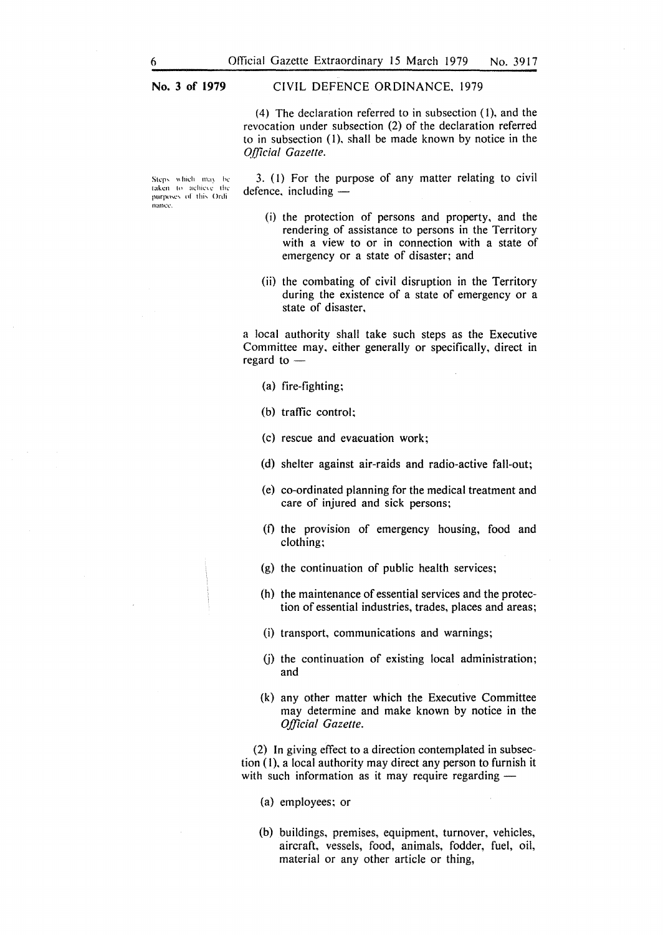#### CIVIL DEFENCE ORDINANCE. 1979

(4) The declaration referred to in subsection (1). and the revocation under subsection (2) of the declaration referred to in subsection (I). shall be made known by notice in the *Q/]icial Gazelle.* 

Steps which may be taken to achieve the purposes of this Ordi nance.

3. (I) For the purpose of any matter relating to civil defence. including  $-$ 

- (i) the protection of persons and property. and the rendering of assistance to persons in the Territory with a view to or in connection with a state of emergency or a state of disaster; and
- (ii) the combating of civil disruption in the Territory during the existence of a state of emergency or a state of disaster.

a local authority shall take such steps as the Executive Committee may. either generally or specifically. direct in regard to -

- (a) fire-fighting;
- (b) traffic control;
- (c) rescue and evaeuation work;
- (d) shelter against air-raids and radio-active fall-out;
- (e) co-ordinated planning for the medical treatment and care of injured and sick persons;
- (f) the provision of emergency housing, food and clothing;
- (g) the continuation of public health services;
- (h) the maintenance of essential services and the protection of essential industries, trades, places and areas;
- (i) transport, communications and warnings;
- (j) the continuation of existing local administration; and
- (k) any other matter which the Executive Committee may determine and make known by notice in the *Official Gazette.*

(2) In giving effect to a direction contemplated in subsection (1), a local authority may direct any person to furnish it with such information as it may require regarding  $-$ 

(a) employees; or

(b) buildings, premises, equipment, turnover, vehicles, aircraft, vessels, food, animals, fodder, fuel, oil, material or any other article or thing,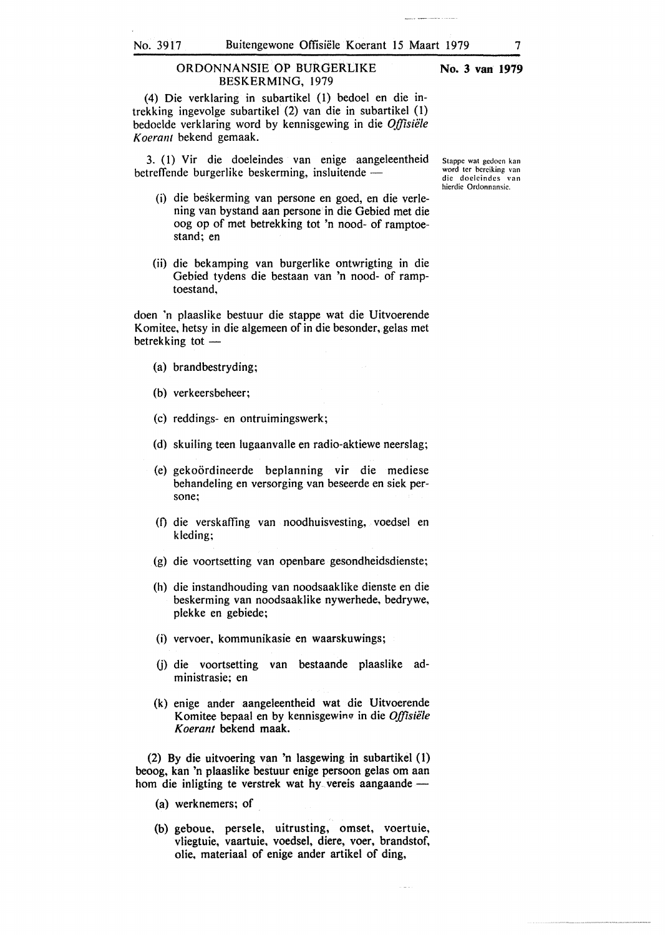(4) Die verklaring in subartikel (l) bedoel en die intrekking ingevolge subartikel (2) van die in subartikel (1) bedoelde verklaring word by kennisgewing in die *Offisiele Koerant* bekend gemaak.

3. (1) Vir die doeleindes van enige aangeleentheid betreffende burgerlike beskerming, insluitende -

- (i) die beskerming van persone en goed, en die verlening van bystand aan persone in die Gebied met die oog op of met betrekking tot 'n nood- of ramptoestand; en
- (ii) die bekamping van burgerlike ontwrigting in die Gebied tydens die bestaan van 'n nood- of ramptoestand,

doen 'n plaaslike bestuur die stappe wat die Uitvoerende Komitee, hetsy in die algemeen of in die besonder, gelas met betrekking tot -

- (a) brandbestryding;
- (b) verkeersbeheer;
- (c) reddings- en ontruimingswerk;
- (d) skuiling teen lugaanvalle en radio-aktiewe neerslag;
- (e) gekoordineerde beplanning vir die mediese behandeling en versorging van beseerde en siek persone;
- (f) die verskaffing van noodhuisvesting, voedsel en kleding;
- (g) die voortsetting van openbare gesondheidsdienste;
- (h) die instandhouding van noodsaaklike dienste en die beskerming van noodsaaklike nywerhede, bedrywe, plekke en gebiede;
- (i) vervoer, kommunikasie en waarskuwings;
- (j) die voortsetting van bestaande plaaslike administrasie; en
- (k) enige ander aangeleentheid wat die Uitvoerende Komitee bepaal en by kennisgewing in die *Offisiële Koerant* bekend maak.

(2) By die uitvoering van 'n lasgewing in subartikel ( 1) beoog, kan 'n plaaslike bestuur enige persoon gelas om aan hom die inligting te verstrek wat hy vereis aangaande -

- (a) werknemers; of
- (b) geboue, persele, uitrusting, omset, voertuie, vliegtuie, vaartuie, voedsel, diere, voer, brandstof, olie, materiaal of enige ander artikel of ding,

**No. 3 van 1979** 

Stappc wat gcdocn kan word tcr bcrciking van die doclcindcs van hierdic Ordonnansic.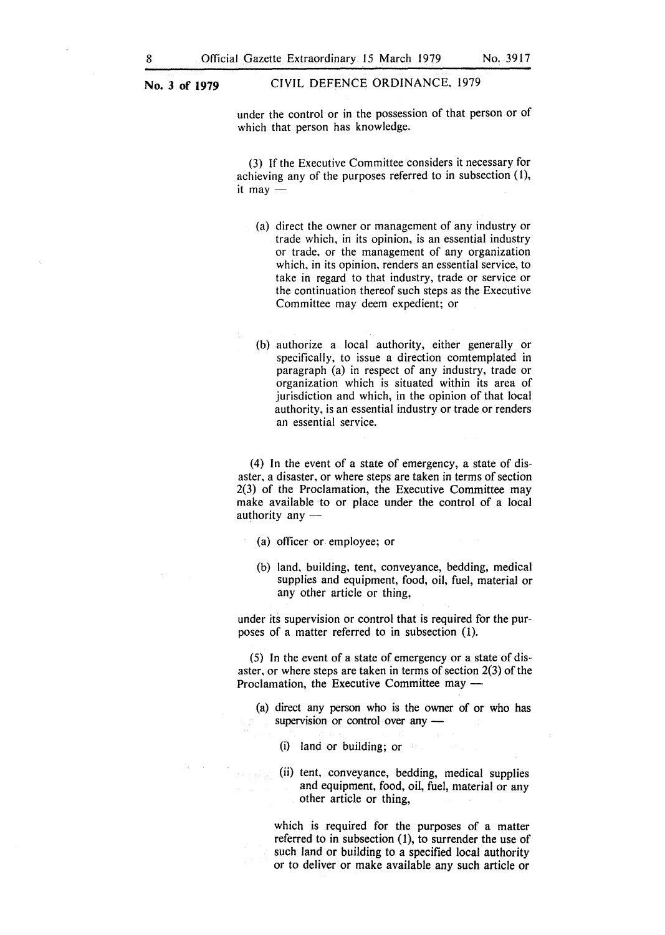under the control or in the possession of that person or of which that person has knowledge.

(3) If the Executive Committee considers it necessary for achieving any of the purposes referred to in subsection  $(1)$ , it may  $-$ 

- (a) direct the owner or management of any industry or trade which, in its opinion, is an essential industry or trade, or the management of any organization which, in its opinion, renders an essential service, to take in regard to that industry, trade or service or the continuation thereof such steps as the Executive Committee may deem expedient; or
- (b) authorize a local authority, either generally or specifically, to issue a direction comtemplated in paragraph (a) in respect of any industry, trade or organization which is situated within its area of jurisdiction and which, in the opinion of that local authority, is an essential industry or trade or renders an essential service.

(4) In the event of a state of emergency, a state of disaster, a disaster, or where steps are taken in terms of section 2(3) of the Proclamation, the Executive Committee may make available to or place under the control of a local authority any  $-$ 

- (a) officer or employee; or
- (b) land, building, tent, conveyance, bedding, medical supplies and equipment, food, oil, fuel, material or any other article or thing,

under its supervision or control that is required for the purposes of a matter referred to in subsection (I).

(5) In the event of a state of emergency or a state of disaster, or where steps are taken in terms of section 2(3) of the Proclamation, the Executive Committee may -

(a) direct any person who is the owner of or who has supervision or control over any -

(i) land or building; or

(ii) tent, conveyance, bedding, medical supplies and equipment, food, oil, fuel, material or any other article or thing,

which is required for the purposes of a matter referred to in subsection  $(1)$ , to surrender the use of such land or building to a specified local authority or to deliver or make available any such article or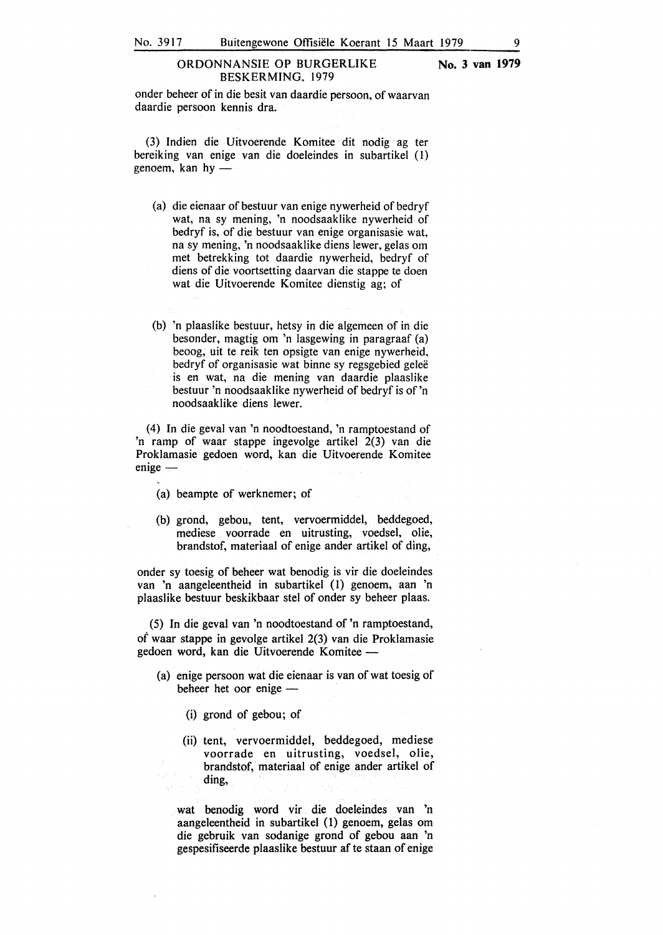#### ORDONNANSIE OP BURGERLIKE **No. 3 van 1979**  BESKERMING, 1979

onder beheer of in die besit van daardie persoon, of waarvan daardie persoon kennis dra.

(3) Indien die Uitvoerende Komitee dit nodig ag ter bereiking van enige van die doeleindes in subartikel ( 1) genoem, kan  $hy$  -

- (a) die eienaar of bestuur van enige nywerheid of bedryf wat, na sy mening, 'n noodsaaklike nywerheid of bedryf is, of die bestuur van enige organisasie wat, na sy mening, 'n noodsaaklike diens lewer, gelas om met betrekking tot daardie nywerheid, bedryf of diens of die voortsetting daarvan die stappe te doen wat die Uitvoerende Komitee dienstig ag; of
- (b) 'n plaaslike bestuur, hetsy in die algemeen of in die besonder, magtig om 'n lasgewing in paragraaf (a) beoog, uit te reik ten opsigte van enige nywerheid, bedryf of organisasie wat binne sy regsgebied geleë is en wat, na die mening van daardie plaaslike bestuur 'n noodsaaklike nywerheid of bedryf is of 'n noodsaaklike diens !ewer.

(4) In die geval van 'n noodtoestand, 'n ramptoestand of 'n ramp of waar stappe ingevolge artikel  $2(3)$  van die Proklamasie gedoen word, kan die Uitvoerende Komitee  $enige -$ 

- (a) beampte of werknemer; of
- (b) grond, gebou, tent, vervoermiddel, beddegoed, mediese voorrade en uitrusting, voedsel, olie, brandstof, materiaal of enige ander artikel of ding,

onder sy toesig of beheer wat benodig is vir die doeleindes van 'n aangeleentheid in subartikel (1) genoem, aan 'n plaaslike bestuur beskikbaar stel of onder sy beheer plaas.

(5) In die geval van 'n noodtoestand of 'n ramptoestand, of waar stappe in gevolge artikel 2(3) van die Proklamasie gedoen word, kan die Uitvoerende Komitee -

- (a) enige persoon wat die eienaar is van of wat toesig of beheer het oor enige -
	- (i) grond of gebou; of
	- (ii) tent, vervoermiddel, beddegoed, mediese voorrade en uitrusting, voedsel, olie, brandstof, materiaal of enige ander artikel of ding,

wat benodig word vir die doeleindes van 'n aangeleentheid in subartikel (1) genoem, gelas om die gebruik van sodanige grond of gebou aan 'n gespesifiseerde plaaslike bestuur af te staan of enige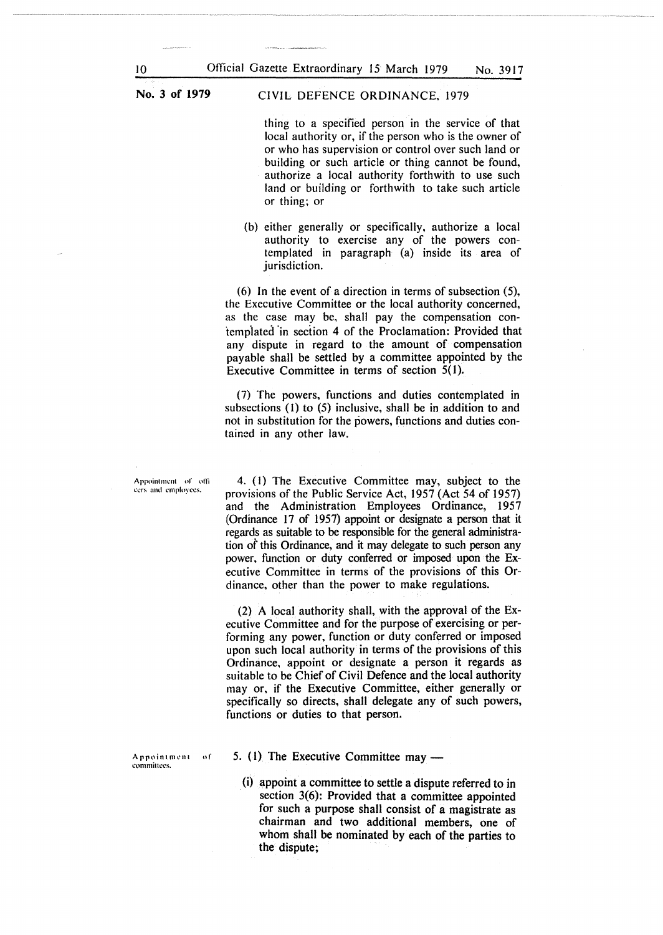CIVIL DEFENCE ORDINANCE, 1979

thing to a specified person in the service of that local authority or, if the person who is the owner of or who has supervision or control over such land or building or such article or thing cannot be found, authorize a local authority forthwith to use such land or building or forthwith to take such article or thing; or

(b) either generally or specifically, authorize a local authority to exercise any of the powers contemplated in paragraph (a) inside its area of jurisdiction.

(6) In the event of a direction in terms of subsection (5), the Executive Committee or the local authority concerned, as the case may be, shall pay the compensation contemplated "in section 4 of the Proclamation: Provided that any dispute in regard to the amount of compensation payable shall be settled by a committee appointed by the Executive Committee in terms of section 5(1).

(7) The powers, functions and duties contemplated in subsections (I) to (5) inclusive, shall be in addition to and not in substitution for the powers, functions and duties contained in any other law.

Appointment of officers and employees.

4. ( I) The Executive Committee may, subject to the provisions of the Public Service Act, 1957 (Act 54 of 1957) and the Administration Employees Ordinance, 1957 (Ordinance 17 of 1957) appoint or designate a person that it regards as suitable to be responsible for the general administration of this Ordinance, and it may delegate to such person any power, function or duty conferred or imposed upon the Executive Committee in terms of the provisions of this Ordinance, other than the power to make regulations.

(2) A local authority shall, with the approval of the Executive Committee and for the purpose of exercising or performing any power, function or duty conferred or imposed upon such local authority in terms of the provisions of this Ordinance, appoint or designate a person it regards as suitable to be Chief of Civil Defence and the local authority may or, if the Executive Committee, either generally or specifically so directs, shall delegate any of such powers, functions or duties to that person.

Appointment of committees.

- 5.  $(1)$  The Executive Committee may
	- (i) appoint a committee to settle a dispute referred to in section 3(6): Provided that a committee appointed for such a purpose shall consist of a magistrate as chairman and two additional members, one of whom shall be nominated by each of the parties to the dispute;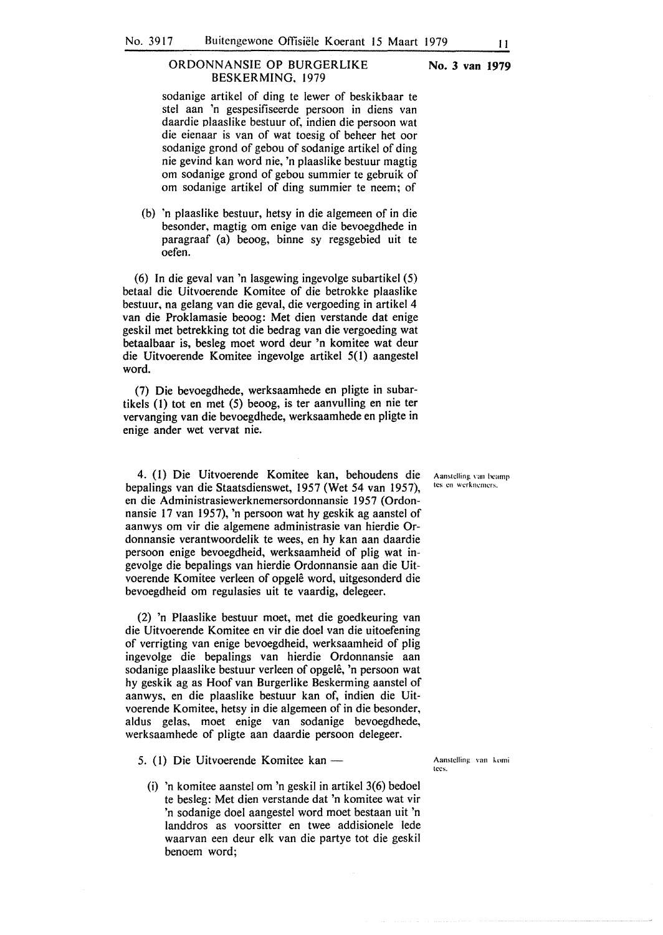#### **No. 3 van 1979**

sodanige artikel of ding te lewer of beskikbaar te stet aan 'n gespesifiseerde persoon in diens van daardie plaaslike bestuur of, indien die persoon wat die eienaar is van of wat toesig of beheer het oor sodanige grond of gebou of sodanige artikel of ding nie gevind kan word nie, 'n plaaslike bestuur magtig om sodanige grond of gebou summier te gebruik of om sodanige artikel of ding summier te neem; of

(b) 'n plaaslike bestuur, hetsy in die algemeen of in die besonder, magtig om enige van die bevoegdhede in paragraaf (a) beoog, binne sy regsgebied uit te oefen.

(6) In die geval van 'n lasgewing ingevolge subartikel (5) betaal die Uitvoerende Komitee of die betrokke plaaslike bestuur, na gelang van die geval, die vergoeding in artikel 4 van die Proklamasie beoog: Met dien verstande dat enige geskil met betrekking tot die bedrag van die vergoeding wat betaalbaar is, besleg moet word deur 'n komitee wat deur die Uitvoerende Komitee ingevolge artikel 5( 1) aangestel word.

(7) Die bevoegdhede, werksaamhede en pligte in subartikels ( 1) tot en met (5) beoog, is ter aanvulling en nie ter vervanging van die bevoegdhede, werksaamhede en pligte in enige ander wet vervat nie.

4. (1) Die Uitvoerende Komitee kan, behoudens die bepalings van die Staatsdienswet, 1957 (Wet 54 van 1957), en die Administrasiewerknemersordonnansie 1957 (Ordonnansie 17 van 1957), 'n persoon wat hy geskik ag aanstel of aanwys om vir die algemene administrasie van hierdie Ordonnansie verantwoordelik te wees, en hy kan aan daardie persoon enige bevoegdheid, werksaamheid of plig wat ingevolge die bepalings van hierdie Ordonnansie aan die Uitvoerende Komitee verleen of opgele word, uitgesonderd die bevoegdheid om regulasies uit te vaardig, delegeer.

(2) 'n Plaaslike bestuur moet, met die goedkeuring van die Uitvoerende Komitee en vir die doel van die uitoefening of verrigting van enige bevoegdheid, werksaamheid of plig ingevolge die bepalings van hierdie Ordonnansie aan sodanige plaaslike bestuur verleen of opgelê, 'n persoon wat hy geskik ag as Hoof van Burgerlike Beskerming aanstel of aanwys. en die plaaslike bestuur kan of, indien die Uitvoerende Komitee, hetsy in die algemeen of in die besonder, aldus gelas, moet enige van sodanige bevoegdhede, werksaamhede of pligte aan daardie persoon delegeer.

- 5. (1) Die Uitvoerende Komitee kan -
	- (i) 'n komitee aanstel om 'n geskil in artikel 3(6) bedoel te besleg: Met dien verstande dat 'n komitee wat vir 'n sodanige doe! aangestel word moet bestaan uit 'n landdros as voorsitter en twee addisionele lede waarvan een deur elk van die partye tot die geskil benoem word;

Aanstelling van beamp **tcs en wcrkncamcrs.** 

Aanstelling van komi Ices.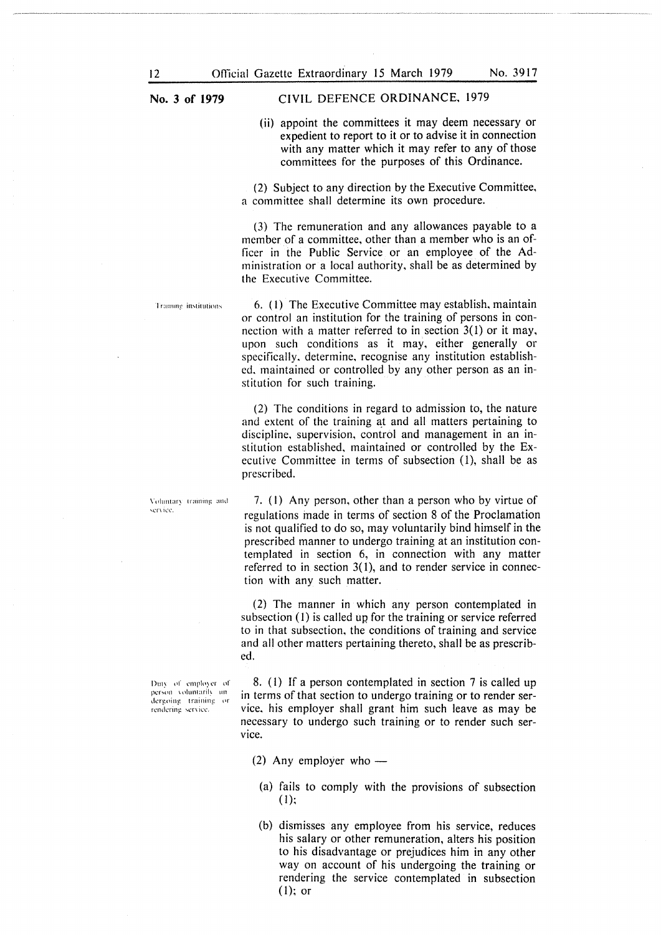#### **No. 3 of 1979** CIVIL DEFENCE ORDINANCE, 1979

(ii) appoint the committees it may deem necessary or expedient to report to it or to advise it in connection with any matter which it may refer to any of those committees for the purposes of this Ordinance.

(2) Subject to any direction by the Executive Committee, a committee shall determine its own procedure.

(3) The remuneration and any allowances payable to a member of a committee, other than a member who is an officer in the Public Service or an employee of the Administration or a local authority, shall be as determined by the Executive Committee.

**Trainne** institutions

6. (I) The Executive Committee may establish, maintain or control an institution for the training of persons in connection with a matter referred to in section 3(1) or it may, upon such conditions as it may, either generally or specifically, determine, recognise any institution established, maintained or controlled by any other person as an institution for such training.

(2) The conditions in regard to admission to, the nature and extent of the training at and all matters pertaining to discipline, supervision, control and management in an institution established, maintained or controlled by the Executive Committee in terms of subsection (I), shall be as prescribed.

7. (I) Any person, other than a person who by virtue of regulations inade in terms of section 8 of the Proclamation is not qualified to do so, may voluntarily bind himself in the prescribed manner to undergo training at an institution contemplated in section 6, in connection with any matter referred to in section 3(1), and to render service in connection with any such matter.

(2) The manner in which any person contemplated in subsection (1) is called up for the training or service referred to in that subsection, the conditions of training and service and all other matters pertaining thereto, shall be as prescribed.

8. (I) If a person contemplated in section 7 is called up in terms of that section to undergo training or to render service, his employer shall grant him such leave as may be necessary to undergo such training or to render such service.

- (2) Any employer who  $-$ 
	- (a) fails to comply with the provisions of subsection (I);
	- (b) dismisses any employee from his service, reduces his salary or other remuneration, alters his position to his disadvantage or prejudices him in any other way on account of his undergoing the training or rendering the service contemplated in subsection  $(1)$ ; or

Voluntary training and service.

Duty of employer of person voluntarily an dergoing training or rendering service.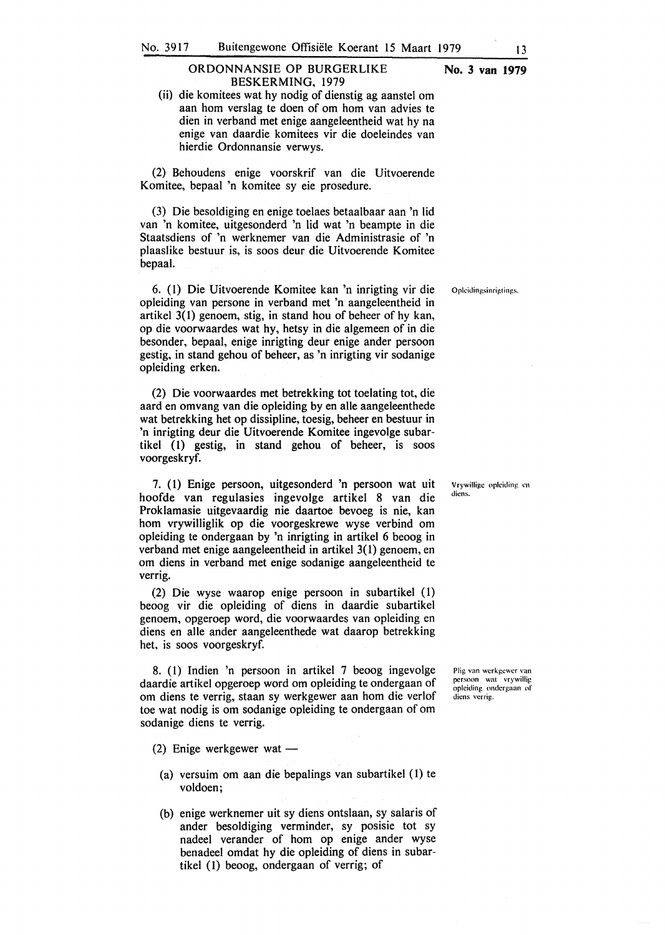#### ORDONNANSIE OP BURGERLIKE **No. 3 van 1979**  BESKERMING, 1979

(ii) die komitees wat hy nodig of dienstig ag aanstel om aan horn verslag te doen of om horn van advies te dien in verband met enige aangeleentheid wat hy na enige van daardie komitees vir die doeleindes van hierdie Ordonnansie verwys.

(2) Behoudens enige voorskrif van die Uitvoerende Komitee, bepaal 'n komitee sy eie prosedure.

(3) Die besoldiging en enige toelaes betaalbaar aan 'n lid van 'n komitee, uitgesonderd 'n lid wat 'n beampte in die Staatsdiens of 'n werknemer van die Administrasie of 'n plaaslike bestuur is, is soos deur die Uitvoerende Komitee bepaal.

6. (1) Die Uitvoerende Komitee kan 'n inrigting vir die Opkidingsinrigtings. opleiding van persone in verband met 'n aangeleentheid in artikel  $3(1)$  genoem, stig, in stand hou of beheer of hy kan, op die voorwaardes wat hy, hetsy in die algemeen of in die besonder, bepaal, enige inrigting deur enige ander persoon gestig, in stand gehou of beheer, as 'n inrigting vir sodanige opleiding erken.

(2) Die voorwaardes met betrekking tot toelating tot, die aard en omvang van die opleiding by en alle aangeleenthede wat betrekking het op dissipline, toesig, beheer en bestuur in 'n inrigting deur die Uitvoerende Komitee ingevolge subartikel (1) gestig, in stand gehou of beheer, is soos voorgeskryf.

7. (1) Enige persoon, uitgesonderd 'n persoon wat uit hoofde van regulasies ingevolge artikel 8 van die Proklamasie uitgevaardig nie daartoe bevoeg is nie, kan horn vrywilliglik op die voorgeskrewe wyse verbind om opleiding te ondergaan by 'n inrigting in artikel 6 beoog in verband met enige aangeleentheid in artikel 3(1) genoem, en om diens in verband met enige sodanige aangeleentheid te verrig.

(2) Die wyse waarop enige persoon in subartikel (1) beoog vir die opleiding of diens in daardie subartikel genoem, opgeroep word, die voorwaardes van opleiding en <liens en alle ander aangeleenthede wat daarop betrekking het, is soos voorgeskryf.

8. (1) Indien 'n persoon in artikel 7 beoog ingevolge daardie artikel opgeroep word om opleiding te ondergaan of om diens te verrig, staan sy werkgewer aan hom die verlof toe wat nodig is om sodanige opleiding te ondergaan of om sodanige diens te verrig.

(2) Enige werkgewer wat  $-$ 

- (a) versuim om aan die bepalings van subartikel (1) te voldoen;
- (b) enige werknemer uit sy diens ontslaan, sy salaris of ander besoldiging verminder, sy posisie tot sy nadeel verander of horn op enige ander wyse benadeel omdat hy die opleiding of diens in subartikel (1) beoog, ondergaan of verrig; of

Plig van wcrkgcwcr van pcrsoon wal vrywillig opleiding ondergaan of dicns vcrrig.

Vrywillige opleiding en dicns.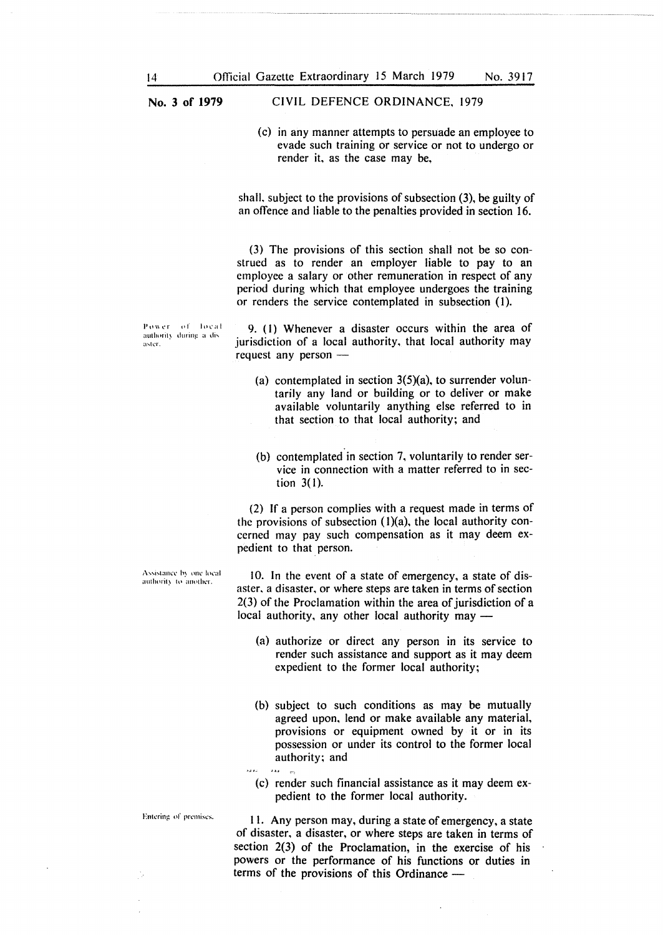CIVIL DEFENCE ORDINANCE, 1979

(c) in any manner attempts to persuade an employee to evade such training or service or not to undergo or render it, as the case may be,

shall, subject to the provisions of subsection (3), be guilty of an offence and liable to the penalties provided in section 16.

(3) The provisions of this section shall not be so construed as to render an employer liable to pay to an employee a salary or other remuneration in respect of any period during which that employee undergoes the training or renders the service contemplated in subsection (1).

Power of local authority during a disaster.

9. (I) Whenever a disaster occurs within the area of jurisdiction of a local authority, that local authority may request any person  $-$ 

- (a) contemplated in section  $3(5)(a)$ , to surrender voluntarily any land or building or to deliver or make available voluntarily anything else referred to in that section to that local authority; and
- (b) contemplated in section 7, voluntarily to render service in connection with a matter referred to in section 3( I).

(2) If a person complies with a request made in terms of the provisions of subsection  $(1)(a)$ , the local authority concerned may pay such compensation as it may deem expedient to that person.

10. In the event of a state of emergency, a state of disaster, a disaster, or where steps are taken in terms of section 2(3) of the Proclamation within the area of jurisdiction of a local authority, any other local authority may -

- (a) authorize or direct any person in its service to render such assistance and support as it may deem expedient to the former local authority;
- (b) subject to such conditions as may be mutually agreed upon, lend or make available any material, provisions or equipment owned by it or in its possession or under its control to the former local
- authority; and<br>  $\therefore$  ... (c) render such financial assistance as it may deem expedient to the former local authority.

I I. Any person may, during a state of emergency, a state of disaster, a disaster, or where steps are taken in terms of section 2(3) of the Proclamation, in the exercise of his powers or the performance of his functions or duties in terms of the provisions of this Ordinance -

Entering of premises.

Assistance by one local authority to another.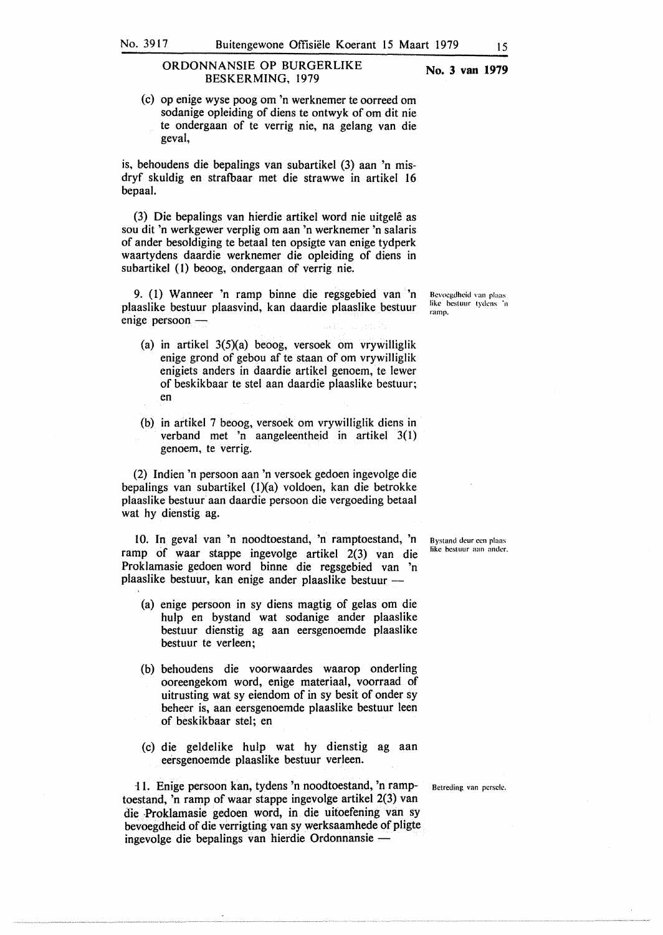#### **No. 3 van 1979**

(c) op enige wyse poog om 'n werknemer te oorreed om sodanige opleiding of diens te ontwyk of om dit nie te ondergaan of te verrig nie, na gelang van die geval,

is, behoudens die bepalings van subartikel (3) aan 'n misdryf skuldig en strafbaar met die strawwe in artikel 16 bepaal.

(3) Die bepalings van hierdie artikel word nie uitgele as sou dit 'n werkgewer verplig om aan 'n werknemer 'n salaris of ander besoldiging te betaal ten opsigte van enige tydperk waartydens daardie werknemer die opleiding of diens in subartikel (1) beoog, ondergaan of verrig nie.

9. (l) Wanneer 'n ramp binne die regsgebied van 'n plaaslike bestuur plaasvind, kan daardie plaaslike bestuur enige persoon -

- (a) in artikel 3(5)(a) beoog, versoek om vrywilliglik enige grond of gebou af te staan of om vrywilliglik enigiets anders in daardie artikel genoem, te lewer of beskikbaar te stel aan daardie plaaslike bestuur; en
- (b) in artikel 7 beoog, versoek om vrywilliglik diens in verband met 'n aangeleentheid in artikel 3(1) genoem, te verrig.

(2) Indien 'n persoon aan 'n versoek gedoen ingevolge die bepalings van subartikel (l)(a) voldoen, kan die betrokke plaaslike bestuur aan daardie persoon die vergoeding betaal wat hy dienstig ag.

10. In geval van 'n noodtoestand, 'n ramptoestand, 'n ramp of waar stappe ingevolge artikel 2(3) van die Proklamasie gedoen word binne die regsgebied van 'n plaaslike bestuur, kan enige ander plaaslike bestuur -

- (a) enige persoon in sy diens magtig of gelas om die hulp en bystand wat sodanige ander plaaslike bestuur dienstig ag aan eersgenoemde plaaslike bestuur te verleen;
- (b) behoudens die voorwaardes waarop onderling ooreengekom word, enige materiaal, voorraad of uitrusting wat sy eiendom of in sy besit of onder sy beheer is, aan eersgenoemde plaaslike bestuur leen of beskikbaar stel; en
- (c) die geldelike hulp wat hy dienstig ag aan eersgenoemde plaaslike bestuur verleen.

11. Enige persoon kan, tydens 'n noodtoestand, 'n ramp- Betreding van persele. toestand, 'n ramp of waar stappe ingevolge artikel 2(3) van die Proklamasie gedoen word, in die uitoefening van sy bevoegdheid of die verrigting van sy werksaamhede of pligte ingevolge die bepalings van hierdie Ordonnansie -

Bcvocgdhcid rnn plaas like bestuur tydens in **ramp.** 

Bystand deur cen plaas **like hcstuur aan antler.**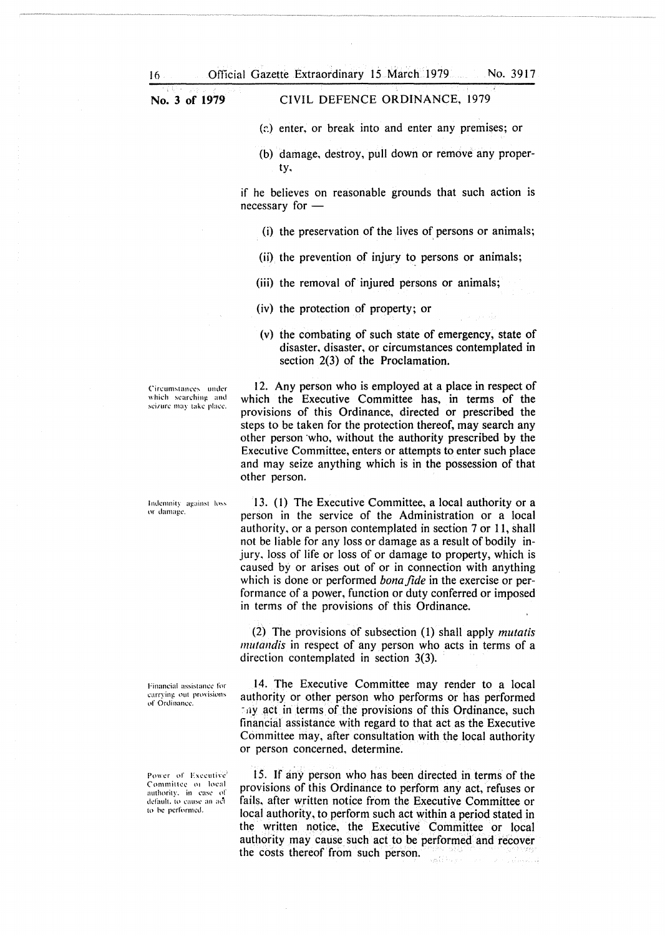### CIVIL DEFENCE ORDINANCE, 1979

(c) enter, or break into and enter any premises; or

(b) damage, destroy, pull down or remove any property.

if he believes on reasonable grounds that such action is necessary for -

- (i) the preservation of the lives of persons or animals;
- (ii) the prevention of injury to persons or animals;
- (iii) the removal of injured persons or animals;
- (iv) the protection of property; or
- (v) the combating of such state of emergency, state of disaster, disaster, or circumstances contemplated in section 2(3) of the Proclamation.

Circumstances under which searching and seizure may take place.

Indemnity against loss or damage

Financial assistance for carrying out provisions of Ordinance.

Power of Executive Committee 01 local authority. in case of default, to cause an act to he performed.

12. Any person who is employed at a place in respect of which the Executive Committee has, in terms of the provisions of this Ordinance, directed or prescribed the steps to be taken for the protection thereof, may search any other person who, without the authority prescribed by the Executive Committee, enters or attempts to enter such place and may seize anything which is in the possession of that other person.

13. (1) The Executive Committee, a local authority or a person in the service of the Administration or a local authority. or a person contemplated in section 7 or 11, shall not be liable for any loss or damage as a result of bodily injury, loss of life or loss of or damage to property, which is caused by or arises out of or in connection with anything which is done or performed *bona.fide* in the exercise or performance of a power, function or duty conferred or imposed in terms of the provisions of this Ordinance.

(2) The provisions of subsection (1) shall apply *mutatis mutandis* in respect of any person who acts in terms of a direction contemplated in section 3(3).

14. The Executive Committee may render to a local authority or other person who performs or has performed  $-11y$  act in terms of the provisions of this Ordinance, such financial assistance with regard to that act as the Executive Committee may, after consultation with the local authority or person concerned, determine.

15. If any person who has been directed in terms of the provisions of this Ordinance to perform any act, refuses or fails. after written notice from the Executive Committee or local authority. to perform such act within a period stated in the written notice, the Executive Committee or local authority may cause such act to be performed and recover the costs thereof from such person.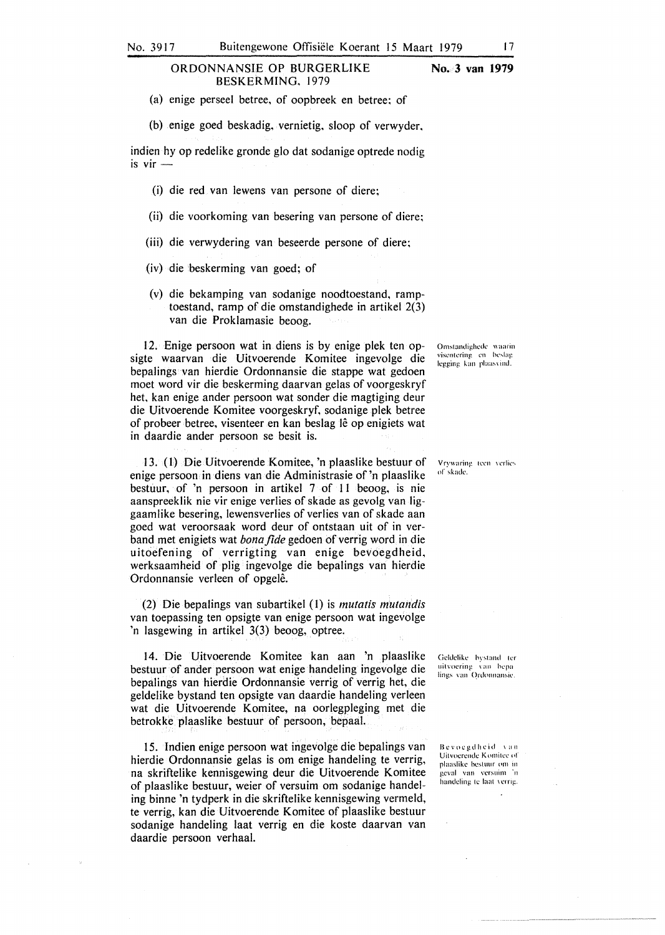#### ORDONNANSIE OP BURGERLIKE BESKERMING. 1979 **No. 3 van 1979**

(a) enige perseel betree. of oopbreek en betree; of

(b) enige goed beskadig, vernietig, sloop of verwyder.

indien hy op redelike gronde glo dat sodanige optrede nodig is  $vir$  -

- (i) die red van lewens van persone of diere;
- (ii) die voorkoming van besering van persone of diere;
- (iii) die verwydering van beseerde persone of diere;
- (iv) die beskerming van goed; of
- (v) die bekamping van sodanige noodtoestand, ramptoestand, ramp of die omstandighede in artikel 2(3) van die Proklamasie beoog.

12. Enige persoon wat in diens is by enige plek ten opsigte waarvan die Uitvoerende Komitee ingevolge die bepalings van hierdie Ordonnansie die stappe wat gedoen moet word vir die beskerming daarvan gelas of voorgeskryf het, kan enige ander persoon wat sonder die magtiging deur die Uitvoerende Komitee voorgeskryf, sodanige plek betree of probeer betree, visenteer en kan beslag lê op enigiets wat in daardie ander persoon se besit is.

13. (l) Die Uitvoerende Komitee, 'n plaaslike bestuur of enige persoon in diens van die Administrasie of 'n plaaslike bestuur, of 'n persoon in artikel 7 of 11 beoog, is nie aanspreeklik nie vir enige verlies of skade as gevolg van liggaamlike besering, lewensverlies of verlies van of skade aan goed wat veroorsaak word deur of ontstaan uit of in verband met enigiets wat *bona.fide* gedoen of verrig word in die uitoefening of verrigting van enige bevoegdheid. werksaamheid of plig ingevolge die bepalings van hierdie Ordonnansie verleen of opgelê.

(2) Die bepalings van subartikel (I) is *mutatis mutandis*  van toepassing ten opsigte van enige persoon wat ingevolge 'n lasgewing in artikel 3(3) beoog, optree.

14. Die Uitvoerende Komitee kan aan 'n plaaslike bestuur of ander persoon wat enige handeling ingevolge die bepalings van hierdie Ordonnansie verrig of verrig het, die geldelike bystand ten opsigte van daardie handeling verleen wat die Uitvoerende Komitee, na oorlegpleging met die betrokke. plaaslike bestuur of persoon, bepaal.

15. lndien enige persoon wat ingevolge die bepalings van hierdie Ordonnansie gelas is om enige handeling te verrig, na skriftelike kennisgewing deur die Uitvoerende Komitee of plaaslike bestuur, weier of versuim om sodanige handeling binne 'n tydperk in die skriftelike kennisgewing vermeld, te verrig, kan die Uitvoerende Komitee of plaaslike bestuur sodanige handeling laat verrig en die koste daarvan van daardie persoon verhaal.

Omstandighede waarin visentering en beslag legging. kan plaasvind.

Vrywaring teen verlies of skade.

Geldelike bystand ter uitvoering van bepa lings van Ordonnansie

Bevoegdheid van Uitvoerende Komitee of plaaslike bestuur om in geval van versuim 'n handeling te laat verrig.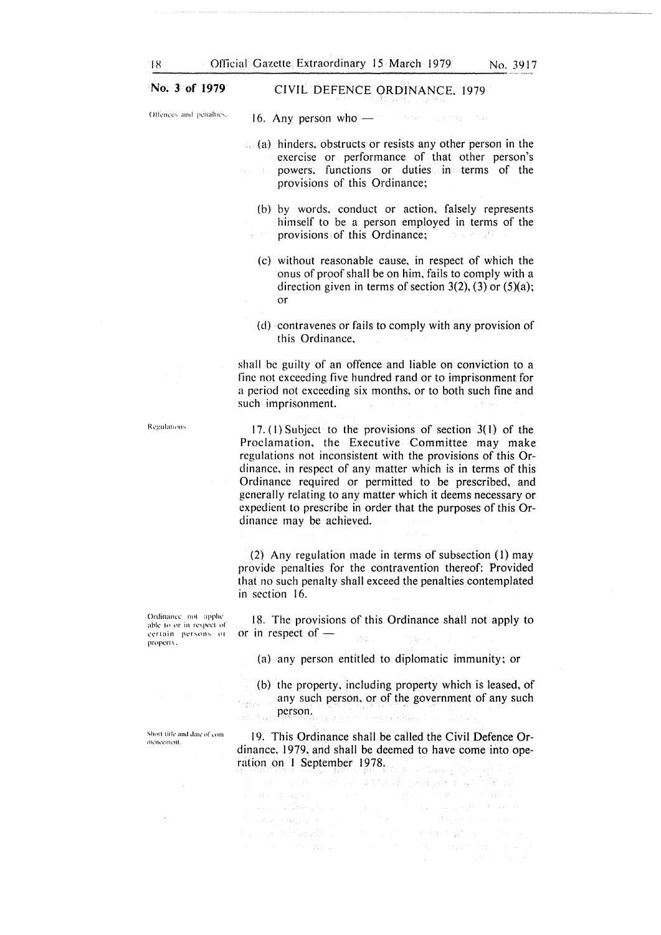#### **No. 3 of 1979**  CIVIL DEFENCE ORDINANCE, 1979

())))) (Offences, and penalties.

16. Any person who - and the state and the

- $\mathbb{R}$  (a) hinders; obstructs or resists any other person in the exercise or performance of that other person's powers, functions or duties in terms of the provisions of this Ordinance;
	- (b) by words, conduct or action, falsely represents himself to be a person employed in terms of the provisions of this Ordinance; Conservation in the
	- (c) without reasonable cause, in respect of which the onus of proof shall be on him, fails to comply with a direction given in terms of section  $3(2)$ ,  $(3)$  or  $(5)(a)$ ; or
	- (d) contravenes or fails to comply with any provision of this Ordinance,

shall be guilty of an offence and liable on conviction to a fine not exceeding five hundred rand or to imprisonment for a period not exceeding six months; or to both such fine and such imprisonment.

17. (1) Subject to the provisions of section  $3(1)$  of the Proclamation, the Executive Committee may make regulations not inconsistent with the provisions of this Ordinance, in respect of any matter which is in terms of this Ordinance required or permitted to be prescribed, and generally relating to any matter which it deems necessary or expedient to prescribe in order that the purposes of this Ordinance may be achieved.

(2) Any regulation made in terms of subsection (1) may provide penalties for the contravention thereof: Provided that no such penalty shall exceed the penalties contemplated in section 16.

18. The provisions of this Ordinance shall not apply to or in respect of  $$ ya.

(a) any person entitled to diplomatic immunity; or

(b) the property, including property which is leased, of any such person, or of the government of any such person.

19. This Ordinance shall be called the Civil Defence Ordinance, 1979, and shall be deemed to have come into ope-

ration on I September 1978. น เข้าสังคมเพื่อสังคม คือ เข้ามาการเรียนการเรียนการเรียนการเรียนการเรียนการเรียนการเรียนการเข้ามีการเรียนการเร<br>เรียนการเรียนการเรียนการเรียนการเรียนการเรียนการเรียนการเรียนการเรียนการเรียนการเรียนการเรียนการเรียนการเรียนก in (1976)<br>1971 - Carl II, mars de Bassar (1976), contrato<br>1971 - An Diones Hertauf, fiziki americano persoa for advertising processing All Controller

Ordinance not applie able to or in respect of certain persons or property.

Regulations

Short title and date of commencement.